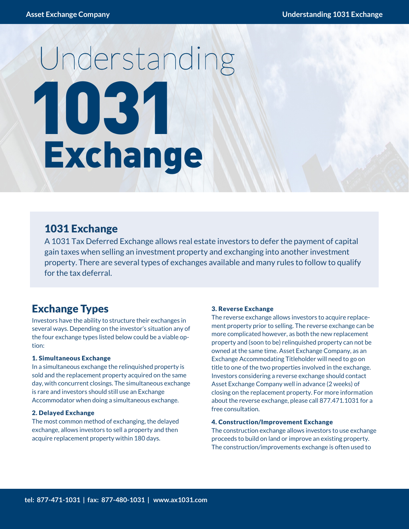# 1031 Understanding **Exchange**

## 1031 Exchange

A 1031 Tax Deferred Exchange allows real estate investors to defer the payment of capital gain taxes when selling an investment property and exchanging into another investment property. There are several types of exchanges available and many rules to follow to qualify for the tax deferral.

## Exchange Types

Investors have the ability to structure their exchanges in several ways. Depending on the investor's situation any of the four exchange types listed below could be a viable option:

#### 1. Simultaneous Exchange

In a simultaneous exchange the relinquished property is sold and the replacement property acquired on the same day, with concurrent closings. The simultaneous exchange is rare and investors should still use an Exchange Accommodator when doing a simultaneous exchange.

#### 2. Delayed Exchange

The most common method of exchanging, the delayed exchange, allows investors to sell a property and then acquire replacement property within 180 days.

#### 3. Reverse Exchange

The reverse exchange allows investors to acquire replacement property prior to selling. The reverse exchange can be more complicated however, as both the new replacement property and (soon to be) relinquished property can not be owned at the same time. Asset Exchange Company, as an Exchange Accommodating Titleholder will need to go on title to one of the two properties involved in the exchange. Investors considering a reverse exchange should contact Asset Exchange Company well in advance (2 weeks) of closing on the replacement property. For more information about the reverse exchange, please call 877.471.1031 for a free consultation.

#### 4. Construction/Improvement Exchange

The construction exchange allows investors to use exchange proceeds to build on land or improve an existing property. The construction/improvements exchange is often used to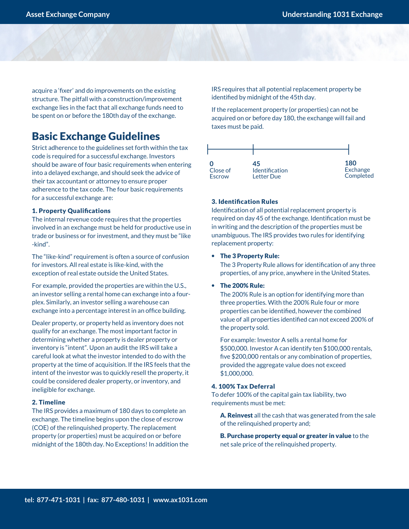acquire a 'fixer' and do improvements on the existing structure. The pitfall with a construction/improvement exchange lies in the fact that all exchange funds need to be spent on or before the 180th day of the exchange.

## Basic Exchange Guidelines

Strict adherence to the guidelines set forth within the tax code is required for a successful exchange. Investors should be aware of four basic requirements when entering into a delayed exchange, and should seek the advice of their tax accountant or attorney to ensure proper adherence to the tax code. The four basic requirements for a successful exchange are:

#### 1. Property Qualifications

The internal revenue code requires that the properties involved in an exchange must be held for productive use in trade or business or for investment, and they must be "like -kind".

The "like-kind" requirement is often a source of confusion for investors. All real estate is like-kind, with the exception of real estate outside the United States.

For example, provided the properties are within the U.S., an investor selling a rental home can exchange into a fourplex. Similarly, an investor selling a warehouse can exchange into a percentage interest in an office building.

Dealer property, or property held as inventory does not qualify for an exchange. The most important factor in determining whether a property is dealer property or inventory is "intent". Upon an audit the IRS will take a careful look at what the investor intended to do with the property at the time of acquisition. If the IRS feels that the intent of the investor was to quickly resell the property, it could be considered dealer property, or inventory, and ineligible for exchange.

#### 2. Timeline

The IRS provides a maximum of 180 days to complete an exchange. The timeline begins upon the close of escrow (COE) of the relinquished property. The replacement property (or properties) must be acquired on or before midnight of the 180th day. No Exceptions! In addition the IRS requires that all potential replacement property be identified by midnight of the 45th day.

If the replacement property (or properties) can not be acquired on or before day 180, the exchange will fail and taxes must be paid.



#### 3. Identification Rules

Identification of all potential replacement property is required on day 45 of the exchange. Identification must be in writing and the description of the properties must be unambiguous. The IRS provides two rules for identifying replacement property:

#### • The 3 Property Rule:

The 3 Property Rule allows for identification of any three properties, of any price, anywhere in the United States.

• The 200% Rule:

The 200% Rule is an option for identifying more than three properties. With the 200% Rule four or more properties can be identified, however the combined value of all properties identified can not exceed 200% of the property sold.

For example: Investor A sells a rental home for \$500,000. Investor A can identify ten \$100,000 rentals, five \$200,000 rentals or any combination of properties, provided the aggregate value does not exceed \$1,000,000.

#### 4. 100% Tax Deferral

To defer 100% of the capital gain tax liability, two requirements must be met:

A. Reinvest all the cash that was generated from the sale of the relinquished property and;

B. Purchase property equal or greater in value to the net sale price of the relinquished property.